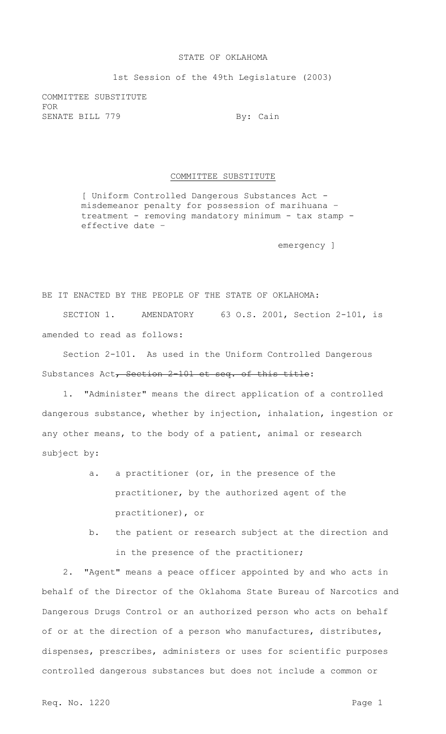## STATE OF OKLAHOMA

1st Session of the 49th Legislature (2003)

COMMITTEE SUBSTITUTE FOR SENATE BILL 779 By: Cain

## COMMITTEE SUBSTITUTE

[ Uniform Controlled Dangerous Substances Act misdemeanor penalty for possession of marihuana – treatment - removing mandatory minimum - tax stamp effective date –

emergency ]

BE IT ENACTED BY THE PEOPLE OF THE STATE OF OKLAHOMA: SECTION 1. AMENDATORY 63 O.S. 2001, Section 2-101, is amended to read as follows:

Section 2-101. As used in the Uniform Controlled Dangerous Substances Act, Section 2-101 et seq. of this title:

1. "Administer" means the direct application of a controlled dangerous substance, whether by injection, inhalation, ingestion or any other means, to the body of a patient, animal or research subject by:

- a. a practitioner (or, in the presence of the practitioner, by the authorized agent of the practitioner), or
- b. the patient or research subject at the direction and in the presence of the practitioner;

2. "Agent" means a peace officer appointed by and who acts in behalf of the Director of the Oklahoma State Bureau of Narcotics and Dangerous Drugs Control or an authorized person who acts on behalf of or at the direction of a person who manufactures, distributes, dispenses, prescribes, administers or uses for scientific purposes controlled dangerous substances but does not include a common or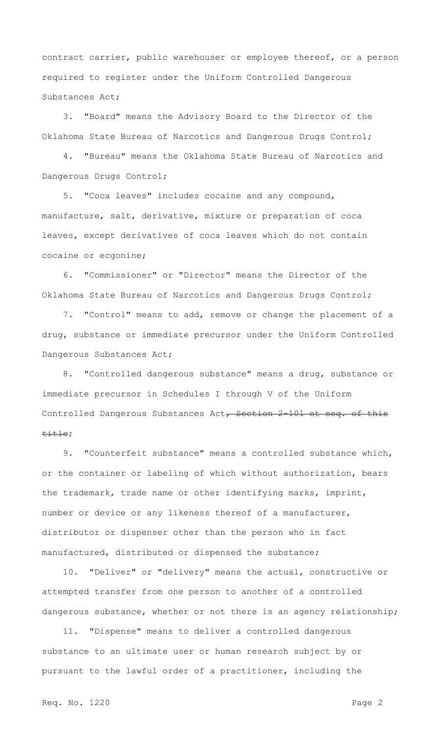contract carrier, public warehouser or employee thereof, or a person required to register under the Uniform Controlled Dangerous Substances Act;

3. "Board" means the Advisory Board to the Director of the Oklahoma State Bureau of Narcotics and Dangerous Drugs Control;

4. "Bureau" means the Oklahoma State Bureau of Narcotics and Dangerous Drugs Control;

5. "Coca leaves" includes cocaine and any compound, manufacture, salt, derivative, mixture or preparation of coca leaves, except derivatives of coca leaves which do not contain cocaine or ecgonine;

6. "Commissioner" or "Director" means the Director of the Oklahoma State Bureau of Narcotics and Dangerous Drugs Control;

7. "Control" means to add, remove or change the placement of a drug, substance or immediate precursor under the Uniform Controlled Dangerous Substances Act;

8. "Controlled dangerous substance" means a drug, substance or immediate precursor in Schedules I through V of the Uniform Controlled Dangerous Substances Act, Section 2-101 et seq. of this title;

9. "Counterfeit substance" means a controlled substance which, or the container or labeling of which without authorization, bears the trademark, trade name or other identifying marks, imprint, number or device or any likeness thereof of a manufacturer, distributor or dispenser other than the person who in fact manufactured, distributed or dispensed the substance;

10. "Deliver" or "delivery" means the actual, constructive or attempted transfer from one person to another of a controlled dangerous substance, whether or not there is an agency relationship;

11. "Dispense" means to deliver a controlled dangerous substance to an ultimate user or human research subject by or pursuant to the lawful order of a practitioner, including the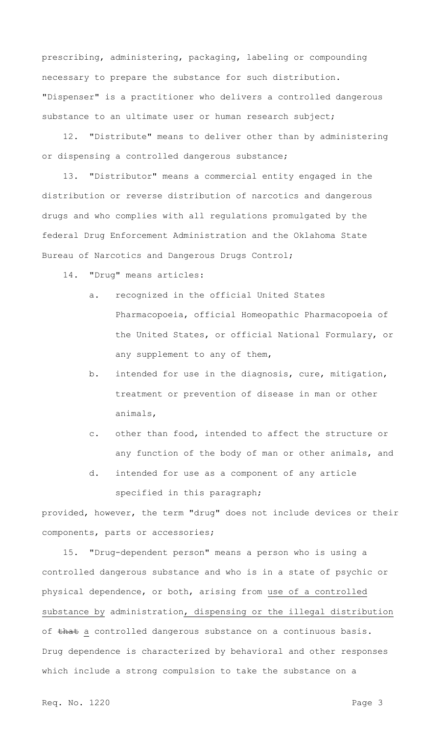prescribing, administering, packaging, labeling or compounding necessary to prepare the substance for such distribution. "Dispenser" is a practitioner who delivers a controlled dangerous substance to an ultimate user or human research subject;

12. "Distribute" means to deliver other than by administering or dispensing a controlled dangerous substance;

13. "Distributor" means a commercial entity engaged in the distribution or reverse distribution of narcotics and dangerous drugs and who complies with all regulations promulgated by the federal Drug Enforcement Administration and the Oklahoma State Bureau of Narcotics and Dangerous Drugs Control;

14. "Drug" means articles:

- a. recognized in the official United States Pharmacopoeia, official Homeopathic Pharmacopoeia of the United States, or official National Formulary, or any supplement to any of them,
- b. intended for use in the diagnosis, cure, mitigation, treatment or prevention of disease in man or other animals,
- c. other than food, intended to affect the structure or any function of the body of man or other animals, and
- d. intended for use as a component of any article specified in this paragraph;

provided, however, the term "drug" does not include devices or their components, parts or accessories;

15. "Drug-dependent person" means a person who is using a controlled dangerous substance and who is in a state of psychic or physical dependence, or both, arising from use of a controlled substance by administration, dispensing or the illegal distribution of that a controlled dangerous substance on a continuous basis. Drug dependence is characterized by behavioral and other responses which include a strong compulsion to take the substance on a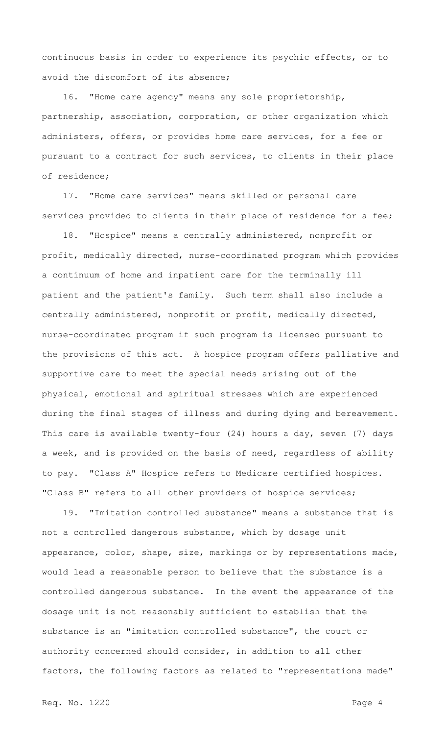continuous basis in order to experience its psychic effects, or to avoid the discomfort of its absence;

16. "Home care agency" means any sole proprietorship, partnership, association, corporation, or other organization which administers, offers, or provides home care services, for a fee or pursuant to a contract for such services, to clients in their place of residence;

17. "Home care services" means skilled or personal care services provided to clients in their place of residence for a fee;

18. "Hospice" means a centrally administered, nonprofit or profit, medically directed, nurse-coordinated program which provides a continuum of home and inpatient care for the terminally ill patient and the patient's family. Such term shall also include a centrally administered, nonprofit or profit, medically directed, nurse-coordinated program if such program is licensed pursuant to the provisions of this act. A hospice program offers palliative and supportive care to meet the special needs arising out of the physical, emotional and spiritual stresses which are experienced during the final stages of illness and during dying and bereavement. This care is available twenty-four (24) hours a day, seven (7) days a week, and is provided on the basis of need, regardless of ability to pay. "Class A" Hospice refers to Medicare certified hospices. "Class B" refers to all other providers of hospice services;

19. "Imitation controlled substance" means a substance that is not a controlled dangerous substance, which by dosage unit appearance, color, shape, size, markings or by representations made, would lead a reasonable person to believe that the substance is a controlled dangerous substance. In the event the appearance of the dosage unit is not reasonably sufficient to establish that the substance is an "imitation controlled substance", the court or authority concerned should consider, in addition to all other factors, the following factors as related to "representations made"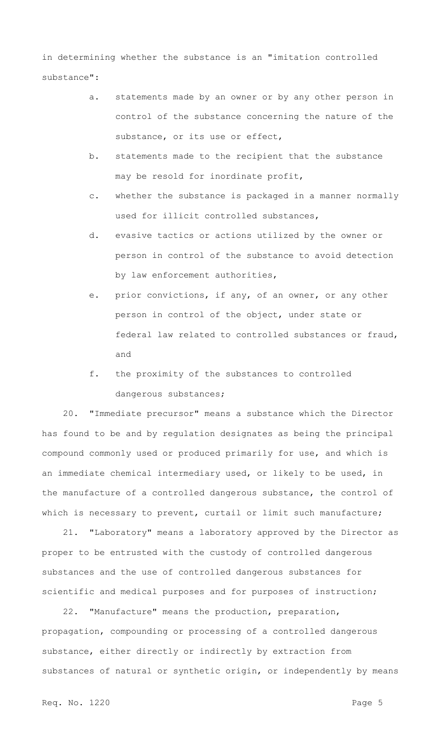in determining whether the substance is an "imitation controlled substance":

- a. statements made by an owner or by any other person in control of the substance concerning the nature of the substance, or its use or effect,
- b. statements made to the recipient that the substance may be resold for inordinate profit,
- c. whether the substance is packaged in a manner normally used for illicit controlled substances,
- d. evasive tactics or actions utilized by the owner or person in control of the substance to avoid detection by law enforcement authorities,
- e. prior convictions, if any, of an owner, or any other person in control of the object, under state or federal law related to controlled substances or fraud, and
- f. the proximity of the substances to controlled dangerous substances;

20. "Immediate precursor" means a substance which the Director has found to be and by regulation designates as being the principal compound commonly used or produced primarily for use, and which is an immediate chemical intermediary used, or likely to be used, in the manufacture of a controlled dangerous substance, the control of which is necessary to prevent, curtail or limit such manufacture;

21. "Laboratory" means a laboratory approved by the Director as proper to be entrusted with the custody of controlled dangerous substances and the use of controlled dangerous substances for scientific and medical purposes and for purposes of instruction;

22. "Manufacture" means the production, preparation, propagation, compounding or processing of a controlled dangerous substance, either directly or indirectly by extraction from substances of natural or synthetic origin, or independently by means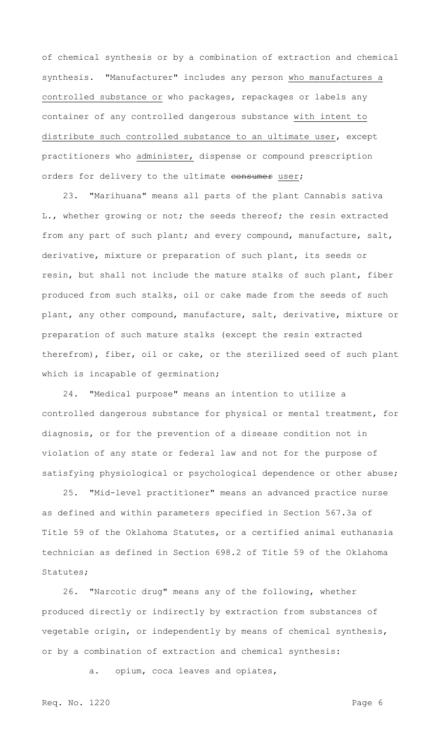of chemical synthesis or by a combination of extraction and chemical synthesis. "Manufacturer" includes any person who manufactures a controlled substance or who packages, repackages or labels any container of any controlled dangerous substance with intent to distribute such controlled substance to an ultimate user, except practitioners who administer, dispense or compound prescription orders for delivery to the ultimate consumer user;

23. "Marihuana" means all parts of the plant Cannabis sativa L., whether growing or not; the seeds thereof; the resin extracted from any part of such plant; and every compound, manufacture, salt, derivative, mixture or preparation of such plant, its seeds or resin, but shall not include the mature stalks of such plant, fiber produced from such stalks, oil or cake made from the seeds of such plant, any other compound, manufacture, salt, derivative, mixture or preparation of such mature stalks (except the resin extracted therefrom), fiber, oil or cake, or the sterilized seed of such plant which is incapable of germination;

24. "Medical purpose" means an intention to utilize a controlled dangerous substance for physical or mental treatment, for diagnosis, or for the prevention of a disease condition not in violation of any state or federal law and not for the purpose of satisfying physiological or psychological dependence or other abuse;

25. "Mid-level practitioner" means an advanced practice nurse as defined and within parameters specified in Section 567.3a of Title 59 of the Oklahoma Statutes, or a certified animal euthanasia technician as defined in Section 698.2 of Title 59 of the Oklahoma Statutes;

26. "Narcotic drug" means any of the following, whether produced directly or indirectly by extraction from substances of vegetable origin, or independently by means of chemical synthesis, or by a combination of extraction and chemical synthesis:

a. opium, coca leaves and opiates,

Req. No. 1220 Page 6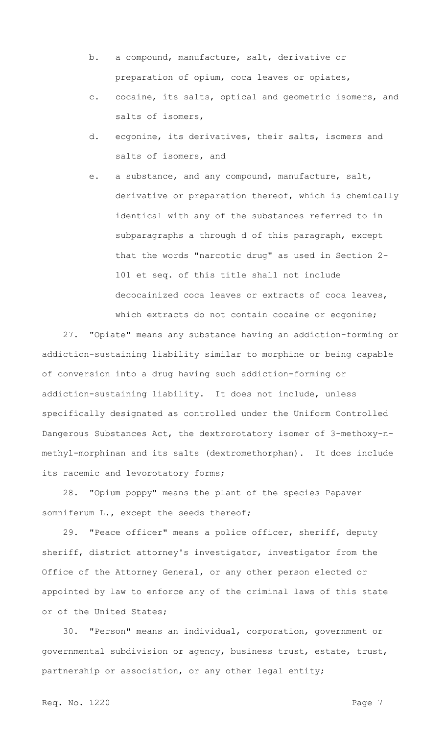- b. a compound, manufacture, salt, derivative or preparation of opium, coca leaves or opiates,
- c. cocaine, its salts, optical and geometric isomers, and salts of isomers,
- d. ecgonine, its derivatives, their salts, isomers and salts of isomers, and
- e. a substance, and any compound, manufacture, salt, derivative or preparation thereof, which is chemically identical with any of the substances referred to in subparagraphs a through d of this paragraph, except that the words "narcotic drug" as used in Section 2- 101 et seq. of this title shall not include decocainized coca leaves or extracts of coca leaves, which extracts do not contain cocaine or ecgonine;

27. "Opiate" means any substance having an addiction-forming or addiction-sustaining liability similar to morphine or being capable of conversion into a drug having such addiction-forming or addiction-sustaining liability. It does not include, unless specifically designated as controlled under the Uniform Controlled Dangerous Substances Act, the dextrorotatory isomer of 3-methoxy-nmethyl-morphinan and its salts (dextromethorphan). It does include its racemic and levorotatory forms;

28. "Opium poppy" means the plant of the species Papaver somniferum L., except the seeds thereof;

29. "Peace officer" means a police officer, sheriff, deputy sheriff, district attorney's investigator, investigator from the Office of the Attorney General, or any other person elected or appointed by law to enforce any of the criminal laws of this state or of the United States;

30. "Person" means an individual, corporation, government or governmental subdivision or agency, business trust, estate, trust, partnership or association, or any other legal entity;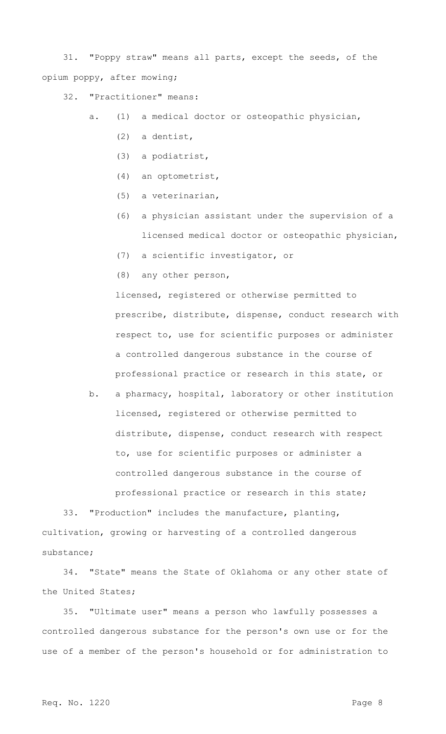31. "Poppy straw" means all parts, except the seeds, of the opium poppy, after mowing;

32. "Practitioner" means:

a. (1) a medical doctor or osteopathic physician,

- (2) a dentist,
- (3) a podiatrist,
- (4) an optometrist,
- (5) a veterinarian,
- (6) a physician assistant under the supervision of a licensed medical doctor or osteopathic physician,
- (7) a scientific investigator, or
- (8) any other person,

licensed, registered or otherwise permitted to prescribe, distribute, dispense, conduct research with respect to, use for scientific purposes or administer a controlled dangerous substance in the course of professional practice or research in this state, or

b. a pharmacy, hospital, laboratory or other institution licensed, registered or otherwise permitted to distribute, dispense, conduct research with respect to, use for scientific purposes or administer a controlled dangerous substance in the course of professional practice or research in this state;

33. "Production" includes the manufacture, planting, cultivation, growing or harvesting of a controlled dangerous substance;

34. "State" means the State of Oklahoma or any other state of the United States;

35. "Ultimate user" means a person who lawfully possesses a controlled dangerous substance for the person's own use or for the use of a member of the person's household or for administration to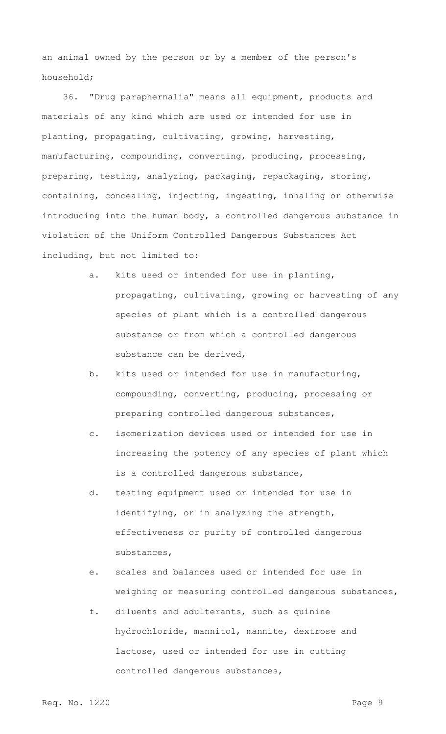an animal owned by the person or by a member of the person's household;

36. "Drug paraphernalia" means all equipment, products and materials of any kind which are used or intended for use in planting, propagating, cultivating, growing, harvesting, manufacturing, compounding, converting, producing, processing, preparing, testing, analyzing, packaging, repackaging, storing, containing, concealing, injecting, ingesting, inhaling or otherwise introducing into the human body, a controlled dangerous substance in violation of the Uniform Controlled Dangerous Substances Act including, but not limited to:

- a. kits used or intended for use in planting, propagating, cultivating, growing or harvesting of any species of plant which is a controlled dangerous substance or from which a controlled dangerous substance can be derived,
- b. kits used or intended for use in manufacturing, compounding, converting, producing, processing or preparing controlled dangerous substances,
- c. isomerization devices used or intended for use in increasing the potency of any species of plant which is a controlled dangerous substance,
- d. testing equipment used or intended for use in identifying, or in analyzing the strength, effectiveness or purity of controlled dangerous substances,
- e. scales and balances used or intended for use in weighing or measuring controlled dangerous substances,
- f. diluents and adulterants, such as quinine hydrochloride, mannitol, mannite, dextrose and lactose, used or intended for use in cutting controlled dangerous substances,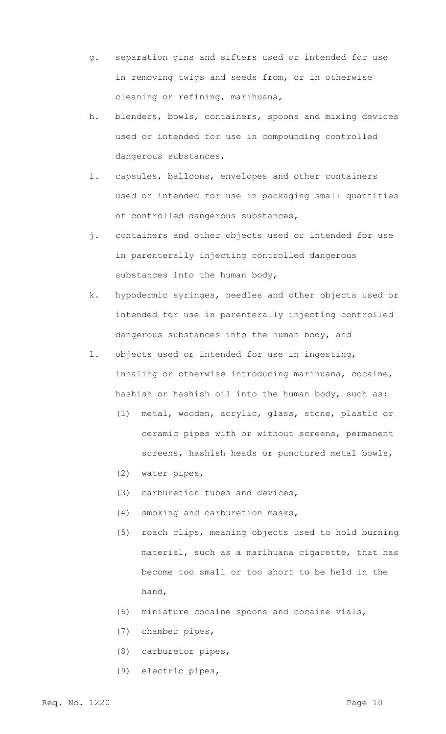- g. separation gins and sifters used or intended for use in removing twigs and seeds from, or in otherwise cleaning or refining, marihuana,
- h. blenders, bowls, containers, spoons and mixing devices used or intended for use in compounding controlled dangerous substances,
- i. capsules, balloons, envelopes and other containers used or intended for use in packaging small quantities of controlled dangerous substances,
- j. containers and other objects used or intended for use in parenterally injecting controlled dangerous substances into the human body,
- k. hypodermic syringes, needles and other objects used or intended for use in parenterally injecting controlled dangerous substances into the human body, and
- l. objects used or intended for use in ingesting, inhaling or otherwise introducing marihuana, cocaine, hashish or hashish oil into the human body, such as:
	- (1) metal, wooden, acrylic, glass, stone, plastic or ceramic pipes with or without screens, permanent screens, hashish heads or punctured metal bowls,
	- (2) water pipes,
	- (3) carburetion tubes and devices,
	- (4) smoking and carburetion masks,
	- (5) roach clips, meaning objects used to hold burning material, such as a marihuana cigarette, that has become too small or too short to be held in the hand,
	- (6) miniature cocaine spoons and cocaine vials,
	- (7) chamber pipes,
	- (8) carburetor pipes,
	- (9) electric pipes,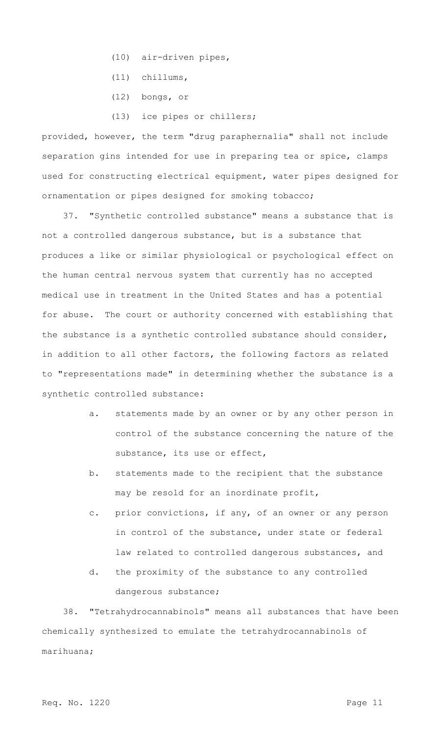- (10) air-driven pipes,
- (11) chillums,
- (12) bongs, or
- (13) ice pipes or chillers;

provided, however, the term "drug paraphernalia" shall not include separation gins intended for use in preparing tea or spice, clamps used for constructing electrical equipment, water pipes designed for ornamentation or pipes designed for smoking tobacco;

37. "Synthetic controlled substance" means a substance that is not a controlled dangerous substance, but is a substance that produces a like or similar physiological or psychological effect on the human central nervous system that currently has no accepted medical use in treatment in the United States and has a potential for abuse. The court or authority concerned with establishing that the substance is a synthetic controlled substance should consider, in addition to all other factors, the following factors as related to "representations made" in determining whether the substance is a synthetic controlled substance:

- a. statements made by an owner or by any other person in control of the substance concerning the nature of the substance, its use or effect,
- b. statements made to the recipient that the substance may be resold for an inordinate profit,
- c. prior convictions, if any, of an owner or any person in control of the substance, under state or federal law related to controlled dangerous substances, and
- d. the proximity of the substance to any controlled dangerous substance;

38. "Tetrahydrocannabinols" means all substances that have been chemically synthesized to emulate the tetrahydrocannabinols of marihuana;